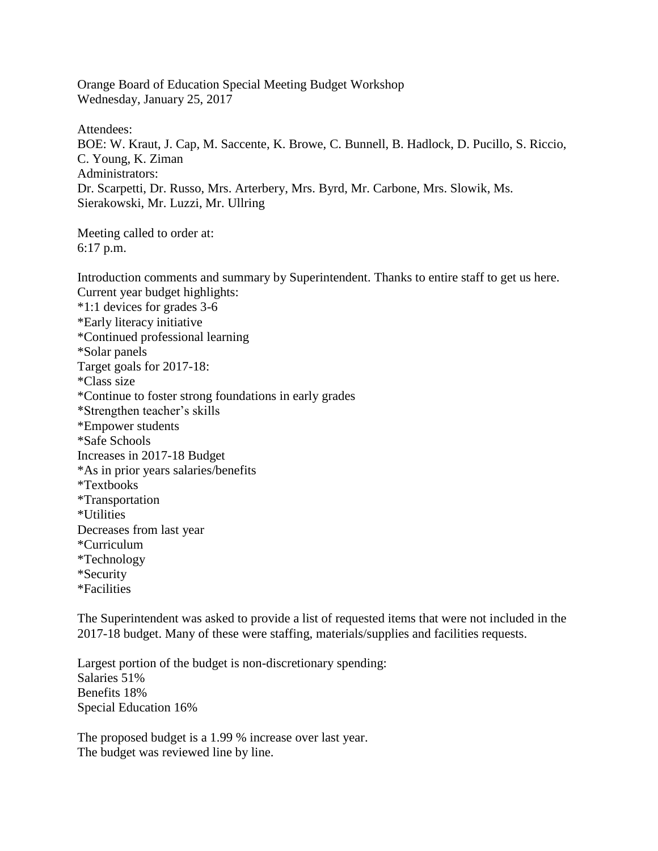Orange Board of Education Special Meeting Budget Workshop Wednesday, January 25, 2017

Attendees: BOE: W. Kraut, J. Cap, M. Saccente, K. Browe, C. Bunnell, B. Hadlock, D. Pucillo, S. Riccio, C. Young, K. Ziman Administrators: Dr. Scarpetti, Dr. Russo, Mrs. Arterbery, Mrs. Byrd, Mr. Carbone, Mrs. Slowik, Ms. Sierakowski, Mr. Luzzi, Mr. Ullring

Meeting called to order at: 6:17 p.m.

Introduction comments and summary by Superintendent. Thanks to entire staff to get us here. Current year budget highlights: \*1:1 devices for grades 3-6 \*Early literacy initiative \*Continued professional learning \*Solar panels Target goals for 2017-18: \*Class size \*Continue to foster strong foundations in early grades \*Strengthen teacher's skills \*Empower students \*Safe Schools Increases in 2017-18 Budget \*As in prior years salaries/benefits \*Textbooks \*Transportation \*Utilities Decreases from last year \*Curriculum \*Technology \*Security \*Facilities

The Superintendent was asked to provide a list of requested items that were not included in the 2017-18 budget. Many of these were staffing, materials/supplies and facilities requests.

Largest portion of the budget is non-discretionary spending: Salaries 51% Benefits 18% Special Education 16%

The proposed budget is a 1.99 % increase over last year. The budget was reviewed line by line.